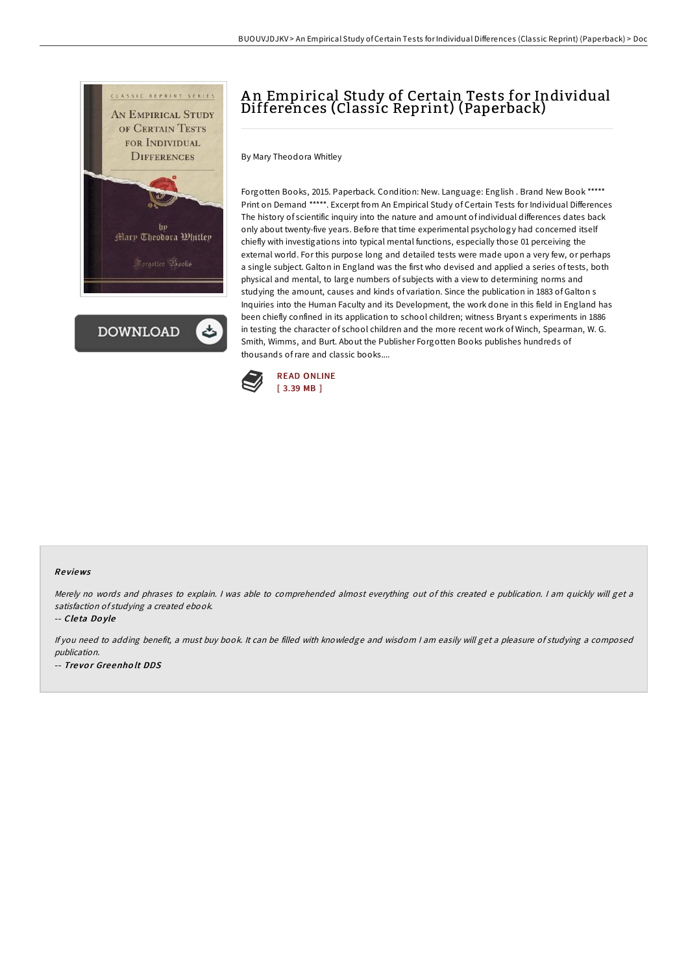

**DOWNLOAD** 

## A n Empirical Study of Certain Tests for Individual Differences (Classic Reprint) (Paperback)

By Mary Theodora Whitley

Forgotten Books, 2015. Paperback. Condition: New. Language: English . Brand New Book \*\*\*\*\* Print on Demand \*\*\*\*\*. Excerpt from An Empirical Study of Certain Tests for Individual Differences The history of scientific inquiry into the nature and amount of individual differences dates back only about twenty-five years. Before that time experimental psychology had concerned itself chiefly with investigations into typical mental functions, especially those 01 perceiving the external world. For this purpose long and detailed tests were made upon a very few, or perhaps a single subject. Galton in England was the first who devised and applied a series of tests, both physical and mental, to large numbers of subjects with a view to determining norms and studying the amount, causes and kinds of variation. Since the publication in 1883 of Galton s Inquiries into the Human Faculty and its Development, the work done in this field in England has been chiefly confined in its application to school children; witness Bryant s experiments in 1886 in testing the character of school children and the more recent work of Winch, Spearman, W. G. Smith, Wimms, and Burt. About the Publisher Forgotten Books publishes hundreds of thousands ofrare and classic books....



## Re views

Merely no words and phrases to explain. <sup>I</sup> was able to comprehended almost everything out of this created <sup>e</sup> publication. <sup>I</sup> am quickly will get <sup>a</sup> satisfaction of studying <sup>a</sup> created ebook.

-- Cle ta Do yle

If you need to adding benefit, <sup>a</sup> must buy book. It can be filled with knowledge and wisdom <sup>I</sup> am easily will get <sup>a</sup> pleasure of studying <sup>a</sup> composed publication. -- Tre vo <sup>r</sup> Gre enho lt DDS